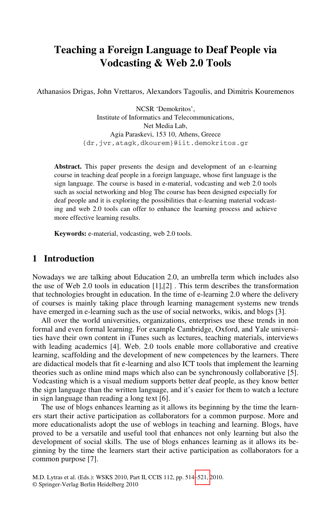# **Teaching a Foreign Language to Deaf People via Vodcasting & Web 2.0 Tools**

Athanasios Drigas, John Vrettaros, Alexandors Tagoulis, and Dimitris Kouremenos

NCSR 'Demokritos', Institute of Informatics and Telecommunications, Net Media Lab, Agia Paraskevi, 153 10, Athens, Greece {dr,jvr,atagk,dkourem}@iit.demokritos.gr

**Abstract.** This paper presents the design and development of an e-learning course in teaching deaf people in a foreign language, whose first language is the sign language. The course is based in e-material, vodcasting and web 2.0 tools such as social networking and blog The course has been designed especially for deaf people and it is exploring the possibilities that e-learning material vodcasting and web 2.0 tools can offer to enhance the learning process and achieve more effective learning results.

**Keywords:** e-material, vodcasting, web 2.0 tools.

### **1 Introduction**

Nowadays we are talking about Education 2.0, an umbrella term which includes also the use of Web 2.0 tools in education [1],[2] . This term describes the transformation that technologies brought in education. In the time of e-learning 2.0 where the delivery of courses is mainly taking place through learning management systems new trends have emerged in e-learning such as the use of social networks, wikis, and blogs [3].

All over the world universities, organizations, enterprises use these trends in non formal and even formal learning. For example Cambridge, Oxford, and Yale universities have their own content in iTunes such as lectures, teaching materials, interviews with leading academics [4]. Web. 2.0 tools enable more collaborative and creative learning, scaffolding and the development of new competences by the learners. There are didactical models that fit e-learning and also ICT tools that implement the learning theories such as online mind maps which also can be synchronously collaborative [5]. Vodcasting which is a visual medium supports better deaf people, as they know better the sign language than the written language, and it's easier for them to watch a lecture in sign language than reading a long text [6].

The use of blogs enhances le[arnin](#page-7-0)g as it allows its beginning by the time the learners start their active participation as collaborators for a common purpose. More and more educationalists adopt the use of weblogs in teaching and learning. Blogs, have proved to be a versatile and useful tool that enhances not only learning but also the development of social skills. The use of blogs enhances learning as it allows its beginning by the time the learners start their active participation as collaborators for a common purpose [7].

M.D. Lytras et al. (Eds.): WSKS 2010, Part II, CCIS 112, pp. 514–521, 2010. © Springer-Verlag Berlin Heidelberg 2010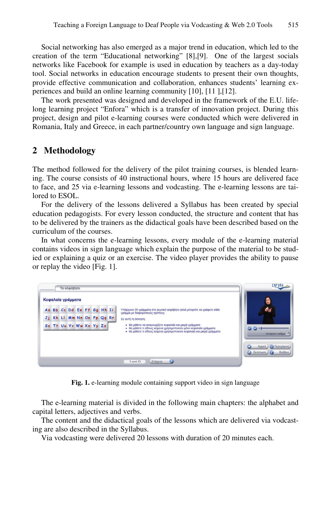Social networking has also emerged as a major trend in education, which led to the creation of the term "Educational networking" [8],[9]. One of the largest socials networks like Facebook for example is used in education by teachers as a day-today tool. Social networks in education encourage students to present their own thoughts, provide effective communication and collaboration, enhances students' learning experiences and build an online learning community [10], [11 ],[12].

The work presented was designed and developed in the framework of the E.U. lifelong learning project "Enfora" which is a transfer of innovation project. During this project, design and pilot e-learning courses were conducted which were delivered in Romania, Italy and Greece, in each partner/country own language and sign language.

### **2 Methodology**

The method followed for the delivery of the pilot training courses, is blended learning. The course consists of 40 instructional hours, where 15 hours are delivered face to face, and 25 via e-learning lessons and vodcasting. The e-learning lessons are tailored to ESOL.

For the delivery of the lessons delivered a Syllabus has been created by special education pedagogists. For every lesson conducted, the structure and content that has to be delivered by the trainers as the didactical goals have been described based on the curriculum of the courses.

In what concerns the e-learning lessons, every module of the e-learning material contains videos in sign language which explain the purpose of the material to be studied or explaining a quiz or an exercise. The video player provides the ability to pause or replay the video [Fig. 1].



**Fig. 1.** e-learning module containing support video in sign language

The e-learning material is divided in the following main chapters: the alphabet and capital letters, adjectives and verbs.

The content and the didactical goals of the lessons which are delivered via vodcasting are also described in the Syllabus.

Via vodcasting were delivered 20 lessons with duration of 20 minutes each.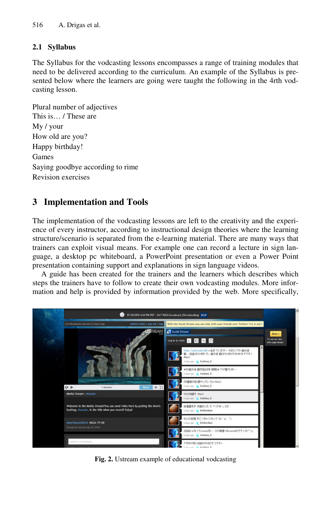## **2.1 Syllabus**

The Syllabus for the vodcasting lessons encompasses a range of training modules that need to be delivered according to the curriculum. An example of the Syllabus is presented below where the learners are going were taught the following in the 4rth vodcasting lesson.

Plural number of adjectives This is… / These are My / your How old are you? Happy birthday! Games Saying goodbye according to rime Revision exercises

# **3 Implementation and Tools**

The implementation of the vodcasting lessons are left to the creativity and the experience of every instructor, according to instructional design theories where the learning structure/scenario is separated from the e-learning material. There are many ways that trainers can exploit visual means. For example one can record a lecture in sign language, a desktop pc whiteboard, a PowerPoint presentation or even a Power Point presentation containing support and explanations in sign language videos.

A guide has been created for the trainers and the learners which describes which steps the trainers have to follow to create their own vodcasting modules. More information and help is provided by information provided by the web. More specifically,



**Fig. 2.** Ustream example of educational vodcasting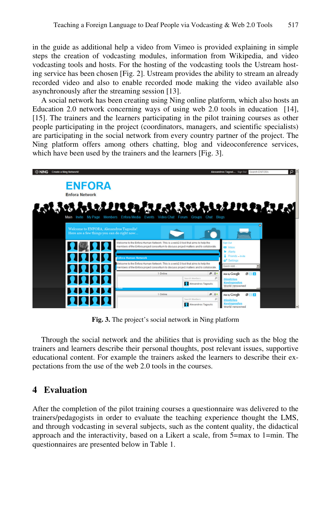in the guide as additional help a video from Vimeo is provided explaining in simple steps the creation of vodcasting modules, information from Wikipedia, and video vodcasting tools and hosts. For the hosting of the vodcasting tools the Ustream hosting service has been chosen [Fig. 2]. Ustream provides the ability to stream an already recorded video and also to enable recorded mode making the video available also asynchronously after the streaming session [13].

A social network has been creating using Ning online platform, which also hosts an Education 2.0 network concerning ways of using web 2.0 tools in education [14], [15]. The trainers and the learners participating in the pilot training courses as other people participating in the project (coordinators, managers, and scientific specialists) are participating in the social network from every country partner of the project. The Ning platform offers among others chatting, blog and videoconference services, which have been used by the trainers and the learners [Fig. 3].



**Fig. 3.** The project's social network in Ning platform

Through the social network and the abilities that is providing such as the blog the trainers and learners describe their personal thoughts, post relevant issues, supportive educational content. For example the trainers asked the learners to describe their expectations from the use of the web 2.0 tools in the courses.

## **4 Evaluation**

After the completion of the pilot training courses a questionnaire was delivered to the trainers/pedagogists in order to evaluate the teaching experience thought the LMS, and through vodcasting in several subjects, such as the content quality, the didactical approach and the interactivity, based on a Likert a scale, from 5=max to 1=min. The questionnaires are presented below in Table 1.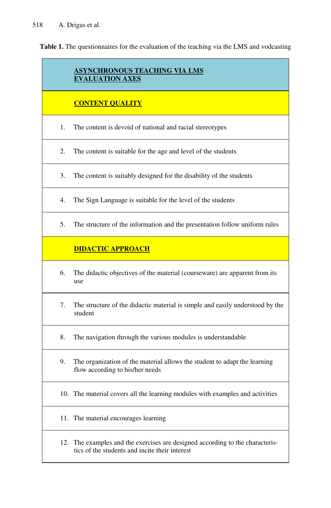**Table 1.** The questionnaires for the evaluation of the teaching via the LMS and vodcasting

### **ASYNCHRONOUS TEACHING VIA LMS EVALUATION AXES**

#### **CONTENT QUALITY**

- 1. The content is devoid of national and racial stereotypes
- 2. The content is suitable for the age and level of the students
- 3. The content is suitably designed for the disability of the students
- 4. The Sign Language is suitable for the level of the students
- 5. The structure of the information and the presentation follow uniform rules

## **DIDACTIC APPROACH**

- 6. The didactic objectives of the material (courseware) are apparent from its use
- 7. The structure of the didactic material is simple and easily understood by the student
- 8. The navigation through the various modules is understandable
- 9. The organization of the material allows the student to adapt the learning flow according to his/her needs
- 10. The material covers all the learning modules with examples and activities
- 11. The material encourages learning
- 12. The examples and the exercises are designed according to the characteristics of the students and incite their interest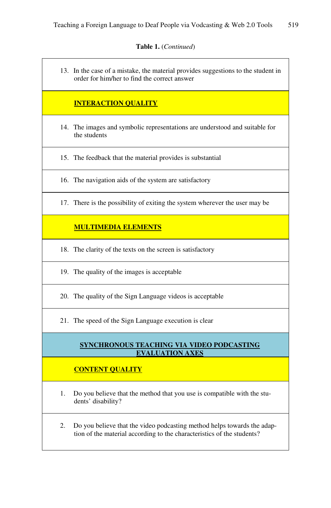#### **Table 1.** (*Continued*)

13. In the case of a mistake, the material provides suggestions to the student in order for him/her to find the correct answer **INTERACTION QUALITY** 14. The images and symbolic representations are understood and suitable for the students 15. The feedback that the material provides is substantial 16. The navigation aids of the system are satisfactory 17. There is the possibility of exiting the system wherever the user may be **MULTIMEDIA ELEMENTS** 18. The clarity of the texts on the screen is satisfactory 19. The quality of the images is acceptable 20. The quality of the Sign Language videos is acceptable 21. The speed of the Sign Language execution is clear **SYNCHRONOUS TEACHING VIA VIDEO PODCASTING EVALUATION AXES CONTENT QUALITY**  1. Do you believe that the method that you use is compatible with the students' disability? 2. Do you believe that the video podcasting method helps towards the adaption of the material according to the characteristics of the students?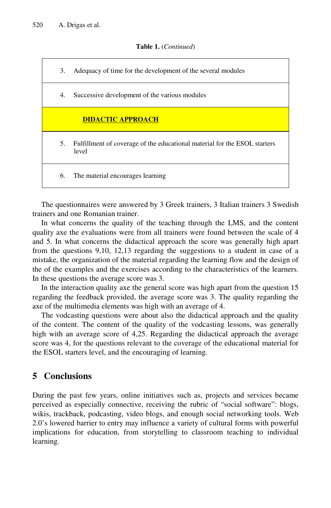#### **Table 1.** (*Continued*)

| 3. | Adequacy of time for the development of the several modules                        |
|----|------------------------------------------------------------------------------------|
| 4. | Successive development of the various modules                                      |
|    | <b>DIDACTIC APPROACH</b>                                                           |
| 5. | Fulfillment of coverage of the educational material for the ESOL starters<br>level |
| 6. | The material encourages learning                                                   |

The questionnaires were answered by 3 Greek trainers, 3 Italian trainers 3 Swedish trainers and one Romanian trainer.

In what concerns the quality of the teaching through the LMS, and the content quality axe the evaluations were from all trainers were found between the scale of 4 and 5. In what concerns the didactical approach the score was generally high apart from the questions 9,10, 12,13 regarding the suggestions to a student in case of a mistake, the organization of the material regarding the learning flow and the design of the of the examples and the exercises according to the characteristics of the learners. In these questions the average score was 3.

In the interaction quality axe the general score was high apart from the question 15 regarding the feedback provided, the average score was 3. The quality regarding the axe of the multimedia elements was high with an average of 4.

The vodcasting questions were about also the didactical approach and the quality of the content. The content of the quality of the vodcasting lessons, was generally high with an average score of 4,25. Regarding the didactical approach the average score was 4, for the questions relevant to the coverage of the educational material for the ESOL starters level, and the encouraging of learning.

# **5 Conclusions**

During the past few years, online initiatives such as, projects and services became perceived as especially connective, receiving the rubric of "social software": blogs, wikis, trackback, podcasting, video blogs, and enough social networking tools. Web 2.0's lowered barrier to entry may influence a variety of cultural forms with powerful implications for education, from storytelling to classroom teaching to individual learning.